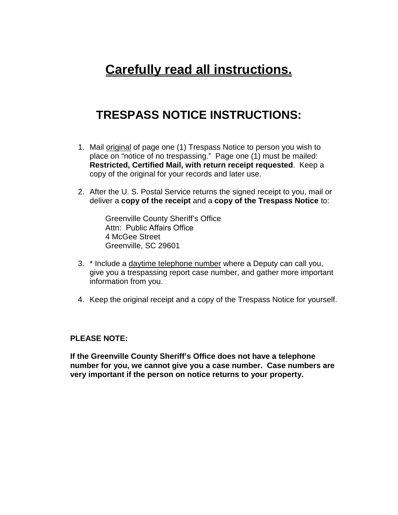## **Carefully read all instructions.**

## **TRESPASS NOTICE INSTRUCTIONS:**

- 1. Mail original of page one (1) Trespass Notice to person you wish to place on "notice of no trespassing." Page one (1) must be mailed: **Restricted, Certified Mail, with return receipt requested**. Keep a copy of the original for your records and later use.
- 2. After the U. S. Postal Service returns the signed receipt to you, mail or deliver a **copy of the receipt** and a **copy of the Trespass Notice** to:

Greenville County Sheriff's Office Attn: Public Affairs Office 4 McGee Street Greenville, SC 29601

- 3. \* Include a daytime telephone number where a Deputy can call you, give you a trespassing report case number, and gather more important information from you.
- 4. Keep the original receipt and a copy of the Trespass Notice for yourself.

## **PLEASE NOTE:**

**If the Greenville County Sheriff's Office does not have a telephone number for you, we cannot give you a case number. Case numbers are very important if the person on notice returns to your property.**